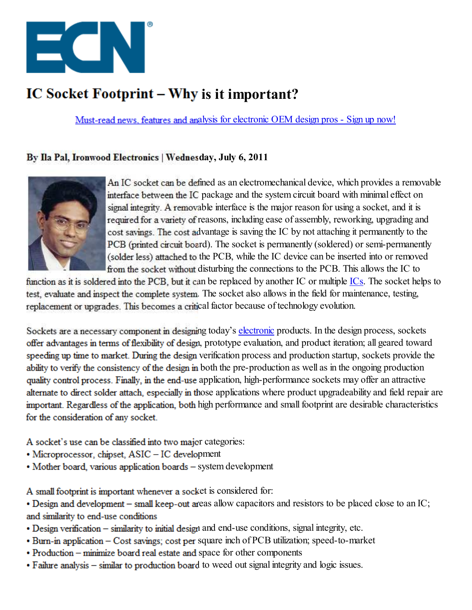

# **IC Socket Footprint – Why is it important?**

Must-read news, features and analysis for electronic OEM design pros - Sign up now!

## **By Ila Pal, Ironwood Electronics | Wednesday, July 6, 2011**



An IC socket can be defined as an electromechanical device, which provides a removable interface between the IC package and the system circuit board with minimal effect on signal integrity. A removable interface is the major reason for using a socket, and it is required for a variety of reasons, including ease of assembly, reworking, upgrading and cost savings. The cost advantage is saving the IC by not attaching it permanently to the PCB (printed circuit board). The socket is permanently (soldered) or semi-permanently (solder less) attached to the PCB, while the IC device can be inserted into or removed from the socket without disturbing the connections to the PCB. This allows the IC to

function as it is soldered into the PCB, but it can be replaced by another IC or multiple ICs. The socket helps to test, evaluate and inspect the complete system. The socket also allows in the field for maintenance, testing, replacement or upgrades. This becomes a critical factor because of technology evolution.

Sockets are a necessary component in designing today's electronic products. In the design process, sockets offer advantages in terms of flexibility of design, prototype evaluation, and product iteration; all geared toward speeding up time to market. During the design verification process and production startup, sockets provide the ability to verify the consistency of the design in both the pre-production as well as in the ongoing production quality control process. Finally, in the end-use application, high-performance sockets may offer an attractive alternate to direct solder attach, especially in those applications where product upgradeability and field repair are important. Regardless of the application, both high performance and small footprint are desirable characteristics for the consideration of any socket.

A socket's use can be classified into two major categories:

- Microprocessor, chipset, ASIC IC development
- Mother board, various application boards system development

A small footprint is important whenever a socket is considered for:

- Design and development small keep-out areas allow capacitors and resistors to be placed close to an IC; and similarity to end-use conditions
- Design verification similarity to initial design and end-use conditions, signal integrity, etc.
- Burn-in application Cost savings; cost per square inch of PCB utilization; speed-to-market
- Production minimize board real estate and space for other components
- Failure analysis similar to production board to weed out signal integrity and logic issues.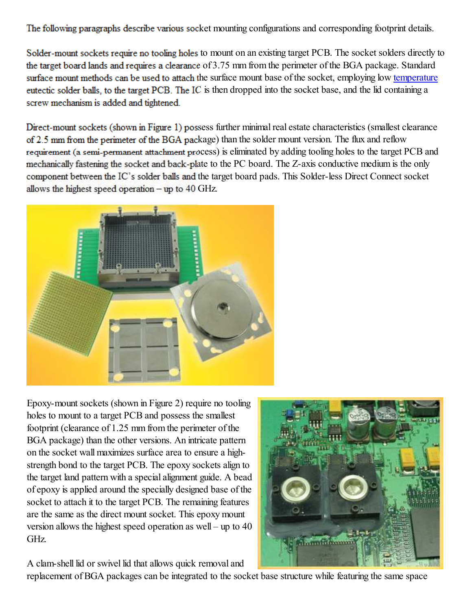The following paragraphs describe various socket mounting configurations and corresponding footprint details.

Solder-mount sockets require no tooling holes to mount on an existing target PCB. The socket solders directly to the target board lands and requires a clearance of 3.75 mm from the perimeter of the BGA package. Standard surface mount methods can be used to attach the surface mount base of the socket, employing low temperature eutectic solder balls, to the target PCB. The IC is then dropped into the socket base, and the lid containing a screw mechanism is added and tightened.

Direct-mount sockets (shown in Figure 1) possess further minimal real estate characteristics (smallest clearance of 2.5 mm from the perimeter of the BGA package) than the solder mount version. The flux and reflow requirement (a semi-permanent attachment process) is eliminated by adding tooling holes to the target PCB and mechanically fastening the socket and back-plate to the PC board. The Z-axis conductive medium is the only component between the IC's solder balls and the target board pads. This Solder-less Direct Connect socket allows the highest speed operation  $-\mathbf{u}$  to 40 GHz.



Epoxy-mount sockets (shown in Figure 2) require no tooling holes to mount to a target PCB and possess the smallest footprint (clearance of 1.25 mm from the perimeter of the BGA package) than the other versions. An intricate pattern on the socket wall maximizes surface area to ensure a highstrength bond to the target PCB. The epoxy sockets align to the target land pattern with a special alignment guide. A bead of epoxy is applied around the specially designed base of the socket to attach it to the target PCB. The remaining features are the same as the direct mount socket. This epoxy mount version allows the highest speed operation as well – up to 40 GHz.

A clam-shell lid or swivel lid that allows quick removal and

replacement of BGA packages can be integrated to the socket base structure while featuring the same space

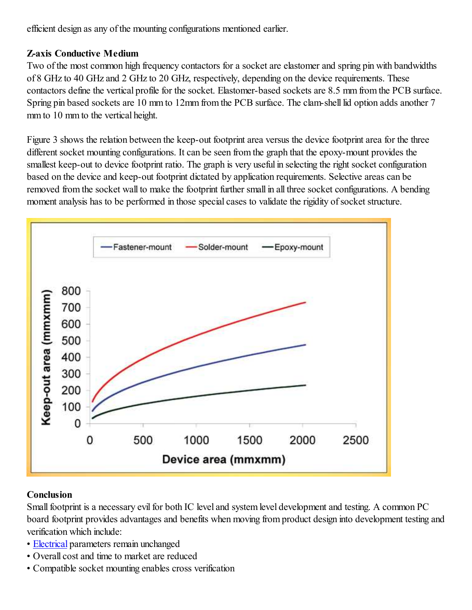efficient design as any of the mounting configurations mentioned earlier.

### **Z-axis Conductive Medium**

Two of the most common high frequency contactors for a socket are elastomer and spring pin with bandwidths of 8 GHz to 40 GHz and 2 GHz to 20 GHz, respectively, depending on the device requirements. These contactors define the vertical profile for the socket. Elastomer-based sockets are 8.5 mm from the PCB surface. Spring pin based sockets are 10 mm to 12mm from the PCB surface. The clam-shell lid option adds another 7 mm to 10 mm to the vertical height.

Figure 3 shows the relation between the keep-out footprint area versus the device footprint area for the three different socket mounting configurations. It can be seen from the graph that the epoxy-mount provides the smallest keep-out to device footprint ratio. The graph is very useful in selecting the right socket configuration based on the device and keep-out footprint dictated by application requirements. Selective areas can be removed from the socket wall to make the footprint further small in all three socket configurations. A bending moment analysis has to be performed in those special cases to validate the rigidity of socket structure.



# **Conclusion**

Small footprint is a necessary evil for both IC level and system level development and testing. A common PC board footprint provides advantages and benefits when moving from product design into development testing and verification which include:

- Electrical parameters remain unchanged
- Overall cost and time to market are reduced
- Compatible socket mounting enables cross verification